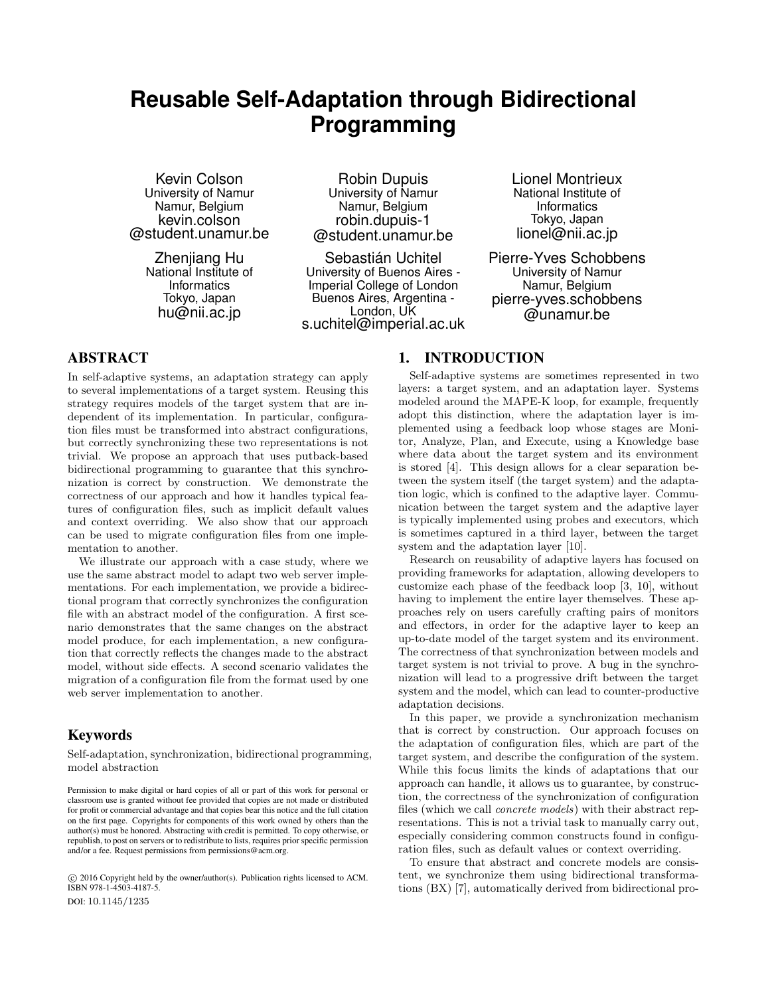# **Reusable Self-Adaptation through Bidirectional Programming**

Kevin Colson University of Namur Namur, Belgium kevin.colson @student.unamur.be

> Zheniiang Hu National Institute of **Informatics** Tokyo, Japan hu@nii.ac.jp

Robin Dupuis University of Namur Namur, Belgium robin.dupuis-1 @student.unamur.be

Sebastián Uchitel University of Buenos Aires - Imperial College of London Buenos Aires, Argentina - London, UK s.uchitel@imperial.ac.uk Lionel Montrieux National Institute of **Informatics** Tokyo, Japan lionel@nii.ac.jp

Pierre-Yves Schobbens University of Namur Namur, Belgium pierre-yves.schobbens @unamur.be

# ABSTRACT

In self-adaptive systems, an adaptation strategy can apply to several implementations of a target system. Reusing this strategy requires models of the target system that are independent of its implementation. In particular, configuration files must be transformed into abstract configurations, but correctly synchronizing these two representations is not trivial. We propose an approach that uses putback-based bidirectional programming to guarantee that this synchronization is correct by construction. We demonstrate the correctness of our approach and how it handles typical features of configuration files, such as implicit default values and context overriding. We also show that our approach can be used to migrate configuration files from one implementation to another.

We illustrate our approach with a case study, where we use the same abstract model to adapt two web server implementations. For each implementation, we provide a bidirectional program that correctly synchronizes the configuration file with an abstract model of the configuration. A first scenario demonstrates that the same changes on the abstract model produce, for each implementation, a new configuration that correctly reflects the changes made to the abstract model, without side effects. A second scenario validates the migration of a configuration file from the format used by one web server implementation to another.

# Keywords

Self-adaptation, synchronization, bidirectional programming, model abstraction

Permission to make digital or hard copies of all or part of this work for personal or classroom use is granted without fee provided that copies are not made or distributed for profit or commercial advantage and that copies bear this notice and the full citation on the first page. Copyrights for components of this work owned by others than the author(s) must be honored. Abstracting with credit is permitted. To copy otherwise, or republish, to post on servers or to redistribute to lists, requires prior specific permission and/or a fee. Request permissions from permissions@acm.org.

 c 2016 Copyright held by the owner/author(s). Publication rights licensed to ACM. ISBN 978-1-4503-4187-5. DOI: 10.1145/1235

### 1. INTRODUCTION

Self-adaptive systems are sometimes represented in two layers: a target system, and an adaptation layer. Systems modeled around the MAPE-K loop, for example, frequently adopt this distinction, where the adaptation layer is implemented using a feedback loop whose stages are Monitor, Analyze, Plan, and Execute, using a Knowledge base where data about the target system and its environment is stored [4]. This design allows for a clear separation between the system itself (the target system) and the adaptation logic, which is confined to the adaptive layer. Communication between the target system and the adaptive layer is typically implemented using probes and executors, which is sometimes captured in a third layer, between the target system and the adaptation layer [10].

Research on reusability of adaptive layers has focused on providing frameworks for adaptation, allowing developers to customize each phase of the feedback loop [3, 10], without having to implement the entire layer themselves. These approaches rely on users carefully crafting pairs of monitors and effectors, in order for the adaptive layer to keep an up-to-date model of the target system and its environment. The correctness of that synchronization between models and target system is not trivial to prove. A bug in the synchronization will lead to a progressive drift between the target system and the model, which can lead to counter-productive adaptation decisions.

In this paper, we provide a synchronization mechanism that is correct by construction. Our approach focuses on the adaptation of configuration files, which are part of the target system, and describe the configuration of the system. While this focus limits the kinds of adaptations that our approach can handle, it allows us to guarantee, by construction, the correctness of the synchronization of configuration files (which we call concrete models) with their abstract representations. This is not a trivial task to manually carry out, especially considering common constructs found in configuration files, such as default values or context overriding.

To ensure that abstract and concrete models are consistent, we synchronize them using bidirectional transformations (BX) [7], automatically derived from bidirectional pro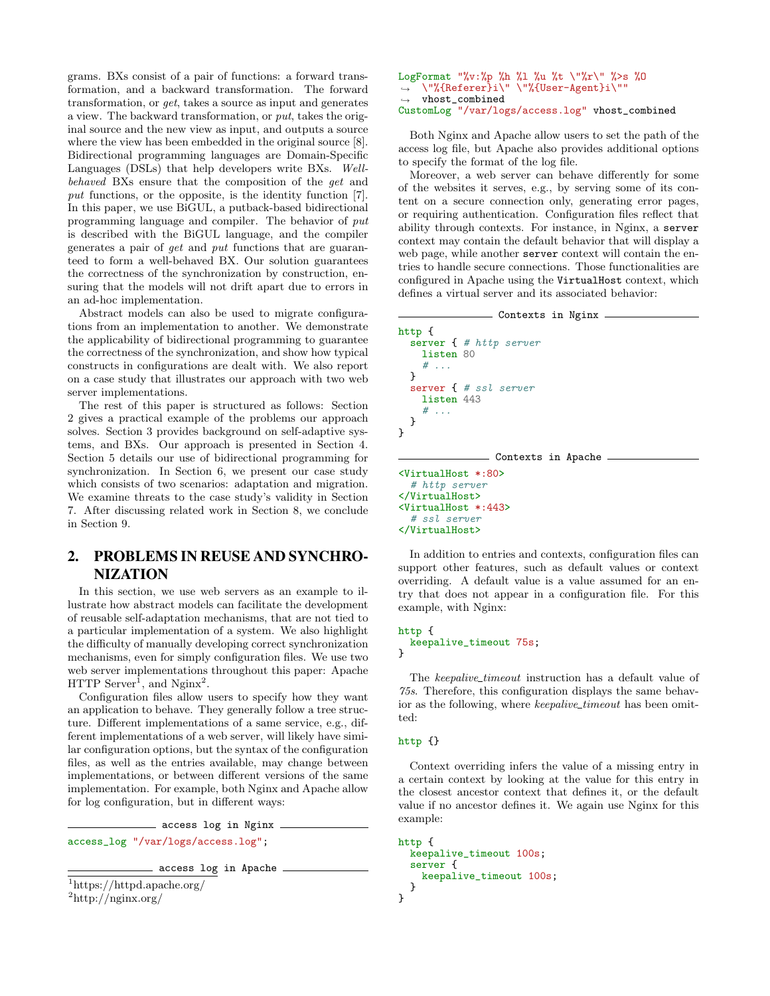grams. BXs consist of a pair of functions: a forward transformation, and a backward transformation. The forward transformation, or get, takes a source as input and generates a view. The backward transformation, or put, takes the original source and the new view as input, and outputs a source where the view has been embedded in the original source [8]. Bidirectional programming languages are Domain-Specific Languages (DSLs) that help developers write BXs. Wellbehaved BXs ensure that the composition of the get and put functions, or the opposite, is the identity function [7]. In this paper, we use BiGUL, a putback-based bidirectional programming language and compiler. The behavior of put is described with the BiGUL language, and the compiler generates a pair of get and put functions that are guaranteed to form a well-behaved BX. Our solution guarantees the correctness of the synchronization by construction, ensuring that the models will not drift apart due to errors in an ad-hoc implementation.

Abstract models can also be used to migrate configurations from an implementation to another. We demonstrate the applicability of bidirectional programming to guarantee the correctness of the synchronization, and show how typical constructs in configurations are dealt with. We also report on a case study that illustrates our approach with two web server implementations.

The rest of this paper is structured as follows: Section 2 gives a practical example of the problems our approach solves. Section 3 provides background on self-adaptive systems, and BXs. Our approach is presented in Section 4. Section 5 details our use of bidirectional programming for synchronization. In Section 6, we present our case study which consists of two scenarios: adaptation and migration. We examine threats to the case study's validity in Section 7. After discussing related work in Section 8, we conclude in Section 9.

# 2. PROBLEMS IN REUSE AND SYNCHRO-NIZATION

In this section, we use web servers as an example to illustrate how abstract models can facilitate the development of reusable self-adaptation mechanisms, that are not tied to a particular implementation of a system. We also highlight the difficulty of manually developing correct synchronization mechanisms, even for simply configuration files. We use two web server implementations throughout this paper: Apache HTTP Server<sup>1</sup>, and Nginx<sup>2</sup>.

Configuration files allow users to specify how they want an application to behave. They generally follow a tree structure. Different implementations of a same service, e.g., different implementations of a web server, will likely have similar configuration options, but the syntax of the configuration files, as well as the entries available, may change between implementations, or between different versions of the same implementation. For example, both Nginx and Apache allow for log configuration, but in different ways:

access log in Nginx

access\_log "/var/logs/access.log";

access log in Apache

<sup>2</sup>http://nginx.org/

```
LogFormat "%v:%p %h %l %u %t \"%r\" %>s %0<br>
\rightarrow \"%{Referer}i\" \"%{User-Agent}i\""
                              \"%{User-Agent}i\"
     vhost_combined
\quad\hookrightarrowCustomLog "/var/logs/access.log" vhost_combined
```
Both Nginx and Apache allow users to set the path of the access log file, but Apache also provides additional options to specify the format of the log file.

Moreover, a web server can behave differently for some of the websites it serves, e.g., by serving some of its content on a secure connection only, generating error pages, or requiring authentication. Configuration files reflect that ability through contexts. For instance, in Nginx, a server context may contain the default behavior that will display a web page, while another server context will contain the entries to handle secure connections. Those functionalities are configured in Apache using the VirtualHost context, which defines a virtual server and its associated behavior:

| Contexts in Nginx .                                                                                                      |
|--------------------------------------------------------------------------------------------------------------------------|
| httpf<br>server $\{ # http server$<br>listen 80<br>$#$<br>ጉ<br>server { # ssl server<br>listen 443<br>$\#$<br>ł          |
| Contexts in Apache                                                                                                       |
| <virtualhost *:80=""><br/># http server<br/></virtualhost><br><virtualhost *:443=""><br/># ssl server<br/></virtualhost> |

In addition to entries and contexts, configuration files can support other features, such as default values or context overriding. A default value is a value assumed for an entry that does not appear in a configuration file. For this example, with Nginx:

#### http { keepalive\_timeout 75s; }

The keepalive\_timeout instruction has a default value of 75s. Therefore, this configuration displays the same behavior as the following, where keepalive\_timeout has been omitted:

#### http {}

Context overriding infers the value of a missing entry in a certain context by looking at the value for this entry in the closest ancestor context that defines it, or the default value if no ancestor defines it. We again use Nginx for this example:

```
http {
  keepalive_timeout 100s;
  server {
    keepalive_timeout 100s;
  }
}
```
<sup>1</sup>https://httpd.apache.org/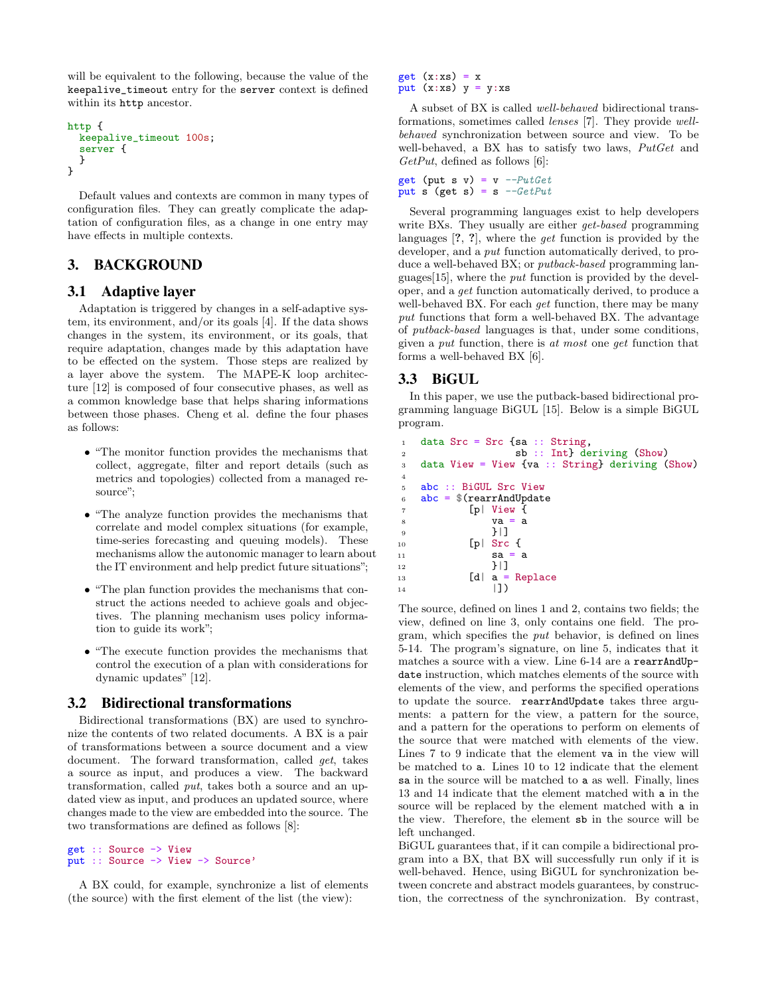will be equivalent to the following, because the value of the keepalive\_timeout entry for the server context is defined within its http ancestor.

```
http {
  keepalive_timeout 100s;
  server {
  }
}
```
Default values and contexts are common in many types of configuration files. They can greatly complicate the adaptation of configuration files, as a change in one entry may have effects in multiple contexts.

# 3. BACKGROUND

# 3.1 Adaptive layer

Adaptation is triggered by changes in a self-adaptive system, its environment, and/or its goals [4]. If the data shows changes in the system, its environment, or its goals, that require adaptation, changes made by this adaptation have to be effected on the system. Those steps are realized by a layer above the system. The MAPE-K loop architecture [12] is composed of four consecutive phases, as well as a common knowledge base that helps sharing informations between those phases. Cheng et al. define the four phases as follows:

- "The monitor function provides the mechanisms that collect, aggregate, filter and report details (such as metrics and topologies) collected from a managed resource";
- "The analyze function provides the mechanisms that correlate and model complex situations (for example, time-series forecasting and queuing models). These mechanisms allow the autonomic manager to learn about the IT environment and help predict future situations";
- "The plan function provides the mechanisms that construct the actions needed to achieve goals and objectives. The planning mechanism uses policy information to guide its work";
- "The execute function provides the mechanisms that control the execution of a plan with considerations for dynamic updates" [12].

# 3.2 Bidirectional transformations

Bidirectional transformations (BX) are used to synchronize the contents of two related documents. A BX is a pair of transformations between a source document and a view document. The forward transformation, called get, takes a source as input, and produces a view. The backward transformation, called put, takes both a source and an updated view as input, and produces an updated source, where changes made to the view are embedded into the source. The two transformations are defined as follows [8]:

```
get :: Source -> View
put :: Source -> View -> Source'
```
A BX could, for example, synchronize a list of elements (the source) with the first element of the list (the view):

get  $(x:xs) = x$ put  $(x:xs)$   $y = y:xs$ 

A subset of BX is called well-behaved bidirectional transformations, sometimes called lenses [7]. They provide wellbehaved synchronization between source and view. To be well-behaved, a BX has to satisfy two laws, PutGet and  $GetPut$ , defined as follows [6]:

get (put s v) =  $v$  --PutGet put s (get s) =  $s$  --GetPut

Several programming languages exist to help developers write BXs. They usually are either *get-based* programming languages [?, ?], where the get function is provided by the developer, and a put function automatically derived, to produce a well-behaved BX; or putback-based programming languages [15], where the *put* function is provided by the developer, and a get function automatically derived, to produce a well-behaved BX. For each *get* function, there may be many put functions that form a well-behaved BX. The advantage of putback-based languages is that, under some conditions, given a put function, there is at most one get function that forms a well-behaved BX [6].

# 3.3 BiGUL

In this paper, we use the putback-based bidirectional programming language BiGUL [15]. Below is a simple BiGUL program.

```
1 data Src = Src {sa :: String,<br>2 sb :: Int} de
<sup>2</sup> sb :: Int} deriving (Show)<br>3 data View = View fva :: String} deriving (
    data View = View {va :: String} deriving (Show)
4
5 abc :: BiGUL Src View
6 abc = $(rearrAndUpdate)7 [p| View {
8 va = a
9 }|]
              [p| Src {
11 sa = a
_{12} } | ]
13 \left[\begin{array}{ccc} d & a = \text{Replace} \end{array}\right]\frac{14}{ } |])
```
The source, defined on lines 1 and 2, contains two fields; the view, defined on line 3, only contains one field. The program, which specifies the put behavior, is defined on lines 5-14. The program's signature, on line 5, indicates that it matches a source with a view. Line 6-14 are a rearrAndUpdate instruction, which matches elements of the source with elements of the view, and performs the specified operations to update the source. rearrAndUpdate takes three arguments: a pattern for the view, a pattern for the source, and a pattern for the operations to perform on elements of the source that were matched with elements of the view. Lines 7 to 9 indicate that the element va in the view will be matched to a. Lines 10 to 12 indicate that the element sa in the source will be matched to a as well. Finally, lines 13 and 14 indicate that the element matched with a in the source will be replaced by the element matched with a in the view. Therefore, the element sb in the source will be left unchanged.

BiGUL guarantees that, if it can compile a bidirectional program into a BX, that BX will successfully run only if it is well-behaved. Hence, using BiGUL for synchronization between concrete and abstract models guarantees, by construction, the correctness of the synchronization. By contrast,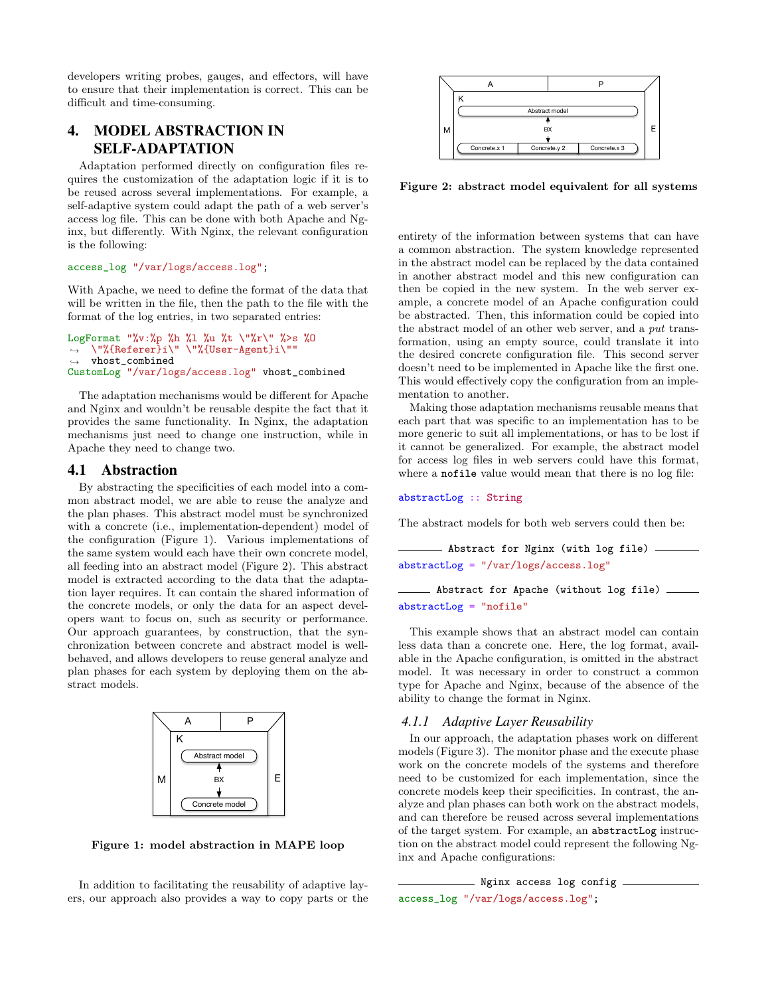developers writing probes, gauges, and effectors, will have to ensure that their implementation is correct. This can be difficult and time-consuming.

# 4. MODEL ABSTRACTION IN SELF-ADAPTATION

Adaptation performed directly on configuration files requires the customization of the adaptation logic if it is to be reused across several implementations. For example, a self-adaptive system could adapt the path of a web server's access log file. This can be done with both Apache and Nginx, but differently. With Nginx, the relevant configuration is the following:

#### access\_log "/var/logs/access.log";

With Apache, we need to define the format of the data that will be written in the file, then the path to the file with the format of the log entries, in two separated entries:

```
LogFormat "%v:%p %h %l %u %t \"%r\" %>s %O
    \"%{Referer}i\" \"%{User-Agent}i\""
vhost_combined
,→
\hookrightarrowCustomLog "/var/logs/access.log" vhost_combined
```
The adaptation mechanisms would be different for Apache and Nginx and wouldn't be reusable despite the fact that it provides the same functionality. In Nginx, the adaptation mechanisms just need to change one instruction, while in Apache they need to change two.

# 4.1 Abstraction

By abstracting the specificities of each model into a common abstract model, we are able to reuse the analyze and the plan phases. This abstract model must be synchronized with a concrete (i.e., implementation-dependent) model of the configuration (Figure 1). Various implementations of the same system would each have their own concrete model, all feeding into an abstract model (Figure 2). This abstract model is extracted according to the data that the adaptation layer requires. It can contain the shared information of the concrete models, or only the data for an aspect developers want to focus on, such as security or performance. Our approach guarantees, by construction, that the synchronization between concrete and abstract model is wellbehaved, and allows developers to reuse general analyze and plan phases for each system by deploying them on the abstract models.



Figure 1: model abstraction in MAPE loop

In addition to facilitating the reusability of adaptive layers, our approach also provides a way to copy parts or the



Figure 2: abstract model equivalent for all systems

entirety of the information between systems that can have a common abstraction. The system knowledge represented in the abstract model can be replaced by the data contained in another abstract model and this new configuration can then be copied in the new system. In the web server example, a concrete model of an Apache configuration could be abstracted. Then, this information could be copied into the abstract model of an other web server, and a put transformation, using an empty source, could translate it into the desired concrete configuration file. This second server doesn't need to be implemented in Apache like the first one. This would effectively copy the configuration from an implementation to another.

Making those adaptation mechanisms reusable means that each part that was specific to an implementation has to be more generic to suit all implementations, or has to be lost if it cannot be generalized. For example, the abstract model for access log files in web servers could have this format, where a nofile value would mean that there is no log file:

abstractLog :: String

The abstract models for both web servers could then be:

Abstract for Nginx (with log file)  $abstractLog = "/var/logs/access.log"$ 

**EXECUTE:** Abstract for Apache (without log file) **LACCUTE:** abstractLog = "nofile"

This example shows that an abstract model can contain less data than a concrete one. Here, the log format, available in the Apache configuration, is omitted in the abstract model. It was necessary in order to construct a common type for Apache and Nginx, because of the absence of the ability to change the format in Nginx.

# *4.1.1 Adaptive Layer Reusability*

In our approach, the adaptation phases work on different models (Figure 3). The monitor phase and the execute phase work on the concrete models of the systems and therefore need to be customized for each implementation, since the concrete models keep their specificities. In contrast, the analyze and plan phases can both work on the abstract models, and can therefore be reused across several implementations of the target system. For example, an abstractLog instruction on the abstract model could represent the following Nginx and Apache configurations:

Nginx access log config access\_log "/var/logs/access.log";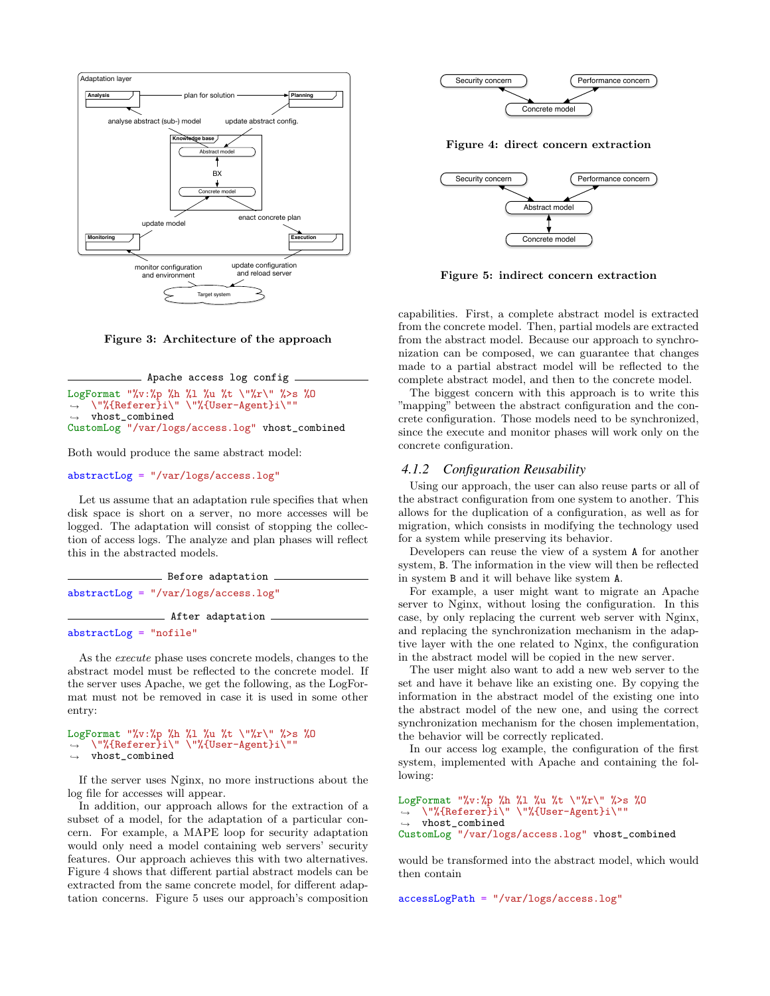

Figure 3: Architecture of the approach

```
- Apache access log config -
```

```
LogFormat "%v:%p %h %l %u %t \"%r\" %>s %0<br>
\rightarrow \"%{Referer}i\" \"%{User-Agent}i\""
                                \"%{User-Agent}i\"
      vhost_combined
 \hookrightarrow\hookrightarrowCustomLog "/var/logs/access.log" vhost_combined
```
Both would produce the same abstract model:

#### abstractLog = "/var/logs/access.log"

Let us assume that an adaptation rule specifies that when disk space is short on a server, no more accesses will be logged. The adaptation will consist of stopping the collection of access logs. The analyze and plan phases will reflect this in the abstracted models.

| Before adaptation -                    |
|----------------------------------------|
| $abstructLog = "/var/logs/access.log"$ |
| After adaptation -                     |

abstractLog = "nofile"

As the execute phase uses concrete models, changes to the abstract model must be reflected to the concrete model. If the server uses Apache, we get the following, as the LogFormat must not be removed in case it is used in some other entry:

```
LogFormat "%v:%p %h %l %u %t \"%r\" %>s %0<br>
\rightarrow \"%{Referer}i\" \"%{User-Agent}i\""
                                       \"%{User-Agent}i\""
       vhost_combined
 \hookrightarrow\hookrightarrow
```
If the server uses Nginx, no more instructions about the log file for accesses will appear.

In addition, our approach allows for the extraction of a subset of a model, for the adaptation of a particular concern. For example, a MAPE loop for security adaptation would only need a model containing web servers' security features. Our approach achieves this with two alternatives. Figure 4 shows that different partial abstract models can be extracted from the same concrete model, for different adaptation concerns. Figure 5 uses our approach's composition



Figure 4: direct concern extraction



Figure 5: indirect concern extraction

capabilities. First, a complete abstract model is extracted from the concrete model. Then, partial models are extracted from the abstract model. Because our approach to synchronization can be composed, we can guarantee that changes made to a partial abstract model will be reflected to the complete abstract model, and then to the concrete model.

The biggest concern with this approach is to write this "mapping" between the abstract configuration and the concrete configuration. Those models need to be synchronized, since the execute and monitor phases will work only on the concrete configuration.

#### *4.1.2 Configuration Reusability*

Using our approach, the user can also reuse parts or all of the abstract configuration from one system to another. This allows for the duplication of a configuration, as well as for migration, which consists in modifying the technology used for a system while preserving its behavior.

Developers can reuse the view of a system A for another system, B. The information in the view will then be reflected in system B and it will behave like system A.

For example, a user might want to migrate an Apache server to Nginx, without losing the configuration. In this case, by only replacing the current web server with Nginx, and replacing the synchronization mechanism in the adaptive layer with the one related to Nginx, the configuration in the abstract model will be copied in the new server.

The user might also want to add a new web server to the set and have it behave like an existing one. By copying the information in the abstract model of the existing one into the abstract model of the new one, and using the correct synchronization mechanism for the chosen implementation, the behavior will be correctly replicated.

In our access log example, the configuration of the first system, implemented with Apache and containing the following:

```
LogFormat "%v:%p %h %l %u %t \"%r\" %>s %O
    \"%{Referer}i\" \"%{User-Agent}i\""
    vhost_combined
\hookrightarrow\hookrightarrowCustomLog "/var/logs/access.log" vhost_combined
```
would be transformed into the abstract model, which would then contain

accessLogPath = "/var/logs/access.log"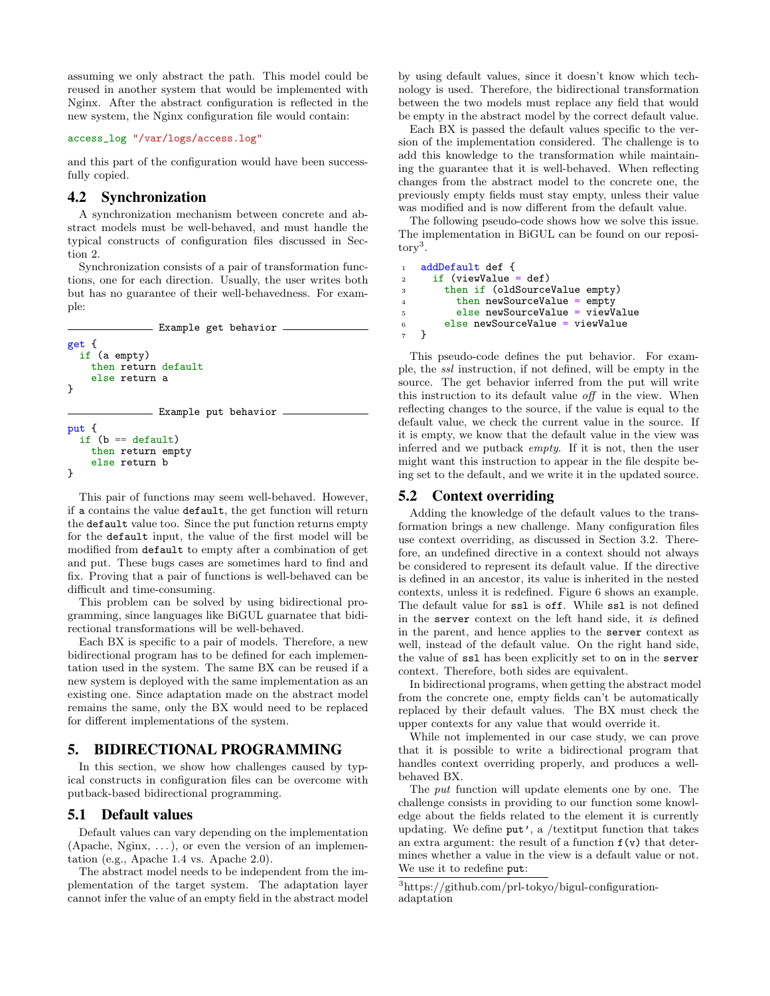assuming we only abstract the path. This model could be reused in another system that would be implemented with Nginx. After the abstract configuration is reflected in the new system, the Nginx configuration file would contain:

```
access_log "/var/logs/access.log"
```
and this part of the configuration would have been successfully copied.

# 4.2 Synchronization

A synchronization mechanism between concrete and abstract models must be well-behaved, and must handle the typical constructs of configuration files discussed in Section 2.

Synchronization consists of a pair of transformation functions, one for each direction. Usually, the user writes both but has no guarantee of their well-behavedness. For example:

```
Example get behavior
get {
  if (a empty)
    then return default
    else return a
}
              - Example put behavior -
put {
  if (b == default)then return empty
    else return b
}
```
This pair of functions may seem well-behaved. However, if a contains the value default, the get function will return the default value too. Since the put function returns empty for the default input, the value of the first model will be modified from default to empty after a combination of get and put. These bugs cases are sometimes hard to find and fix. Proving that a pair of functions is well-behaved can be difficult and time-consuming.

This problem can be solved by using bidirectional programming, since languages like BiGUL guarnatee that bidirectional transformations will be well-behaved.

Each BX is specific to a pair of models. Therefore, a new bidirectional program has to be defined for each implementation used in the system. The same BX can be reused if a new system is deployed with the same implementation as an existing one. Since adaptation made on the abstract model remains the same, only the BX would need to be replaced for different implementations of the system.

# 5. BIDIRECTIONAL PROGRAMMING

In this section, we show how challenges caused by typical constructs in configuration files can be overcome with putback-based bidirectional programming.

# 5.1 Default values

Default values can vary depending on the implementation (Apache, Nginx,  $\dots$ ), or even the version of an implementation (e.g., Apache 1.4 vs. Apache 2.0).

The abstract model needs to be independent from the implementation of the target system. The adaptation layer cannot infer the value of an empty field in the abstract model by using default values, since it doesn't know which technology is used. Therefore, the bidirectional transformation between the two models must replace any field that would be empty in the abstract model by the correct default value.

Each BX is passed the default values specific to the version of the implementation considered. The challenge is to add this knowledge to the transformation while maintaining the guarantee that it is well-behaved. When reflecting changes from the abstract model to the concrete one, the previously empty fields must stay empty, unless their value was modified and is now different from the default value.

The following pseudo-code shows how we solve this issue. The implementation in BiGUL can be found on our repository<sup>3</sup> .

```
1 addDefault def {<br>2 if (viewValue
      if (viewValue = def)
3 then if (oldSourceValue empty)<br>4 then newSourceValue = empty
           then newSourceValue = empty5 else newSourceValue = viewValue
6 else newSourceValue = viewValue
7 }
```
This pseudo-code defines the put behavior. For example, the ssl instruction, if not defined, will be empty in the source. The get behavior inferred from the put will write this instruction to its default value off in the view. When reflecting changes to the source, if the value is equal to the default value, we check the current value in the source. If it is empty, we know that the default value in the view was inferred and we putback empty. If it is not, then the user might want this instruction to appear in the file despite being set to the default, and we write it in the updated source.

### 5.2 Context overriding

Adding the knowledge of the default values to the transformation brings a new challenge. Many configuration files use context overriding, as discussed in Section 3.2. Therefore, an undefined directive in a context should not always be considered to represent its default value. If the directive is defined in an ancestor, its value is inherited in the nested contexts, unless it is redefined. Figure 6 shows an example. The default value for ssl is off. While ssl is not defined in the server context on the left hand side, it is defined in the parent, and hence applies to the server context as well, instead of the default value. On the right hand side, the value of ssl has been explicitly set to on in the server context. Therefore, both sides are equivalent.

In bidirectional programs, when getting the abstract model from the concrete one, empty fields can't be automatically replaced by their default values. The BX must check the upper contexts for any value that would override it.

While not implemented in our case study, we can prove that it is possible to write a bidirectional program that handles context overriding properly, and produces a wellbehaved BX.

The put function will update elements one by one. The challenge consists in providing to our function some knowledge about the fields related to the element it is currently updating. We define put', a /textitput function that takes an extra argument: the result of a function  $f(v)$  that determines whether a value in the view is a default value or not. We use it to redefine put:

<sup>3</sup>https://github.com/prl-tokyo/bigul-configurationadaptation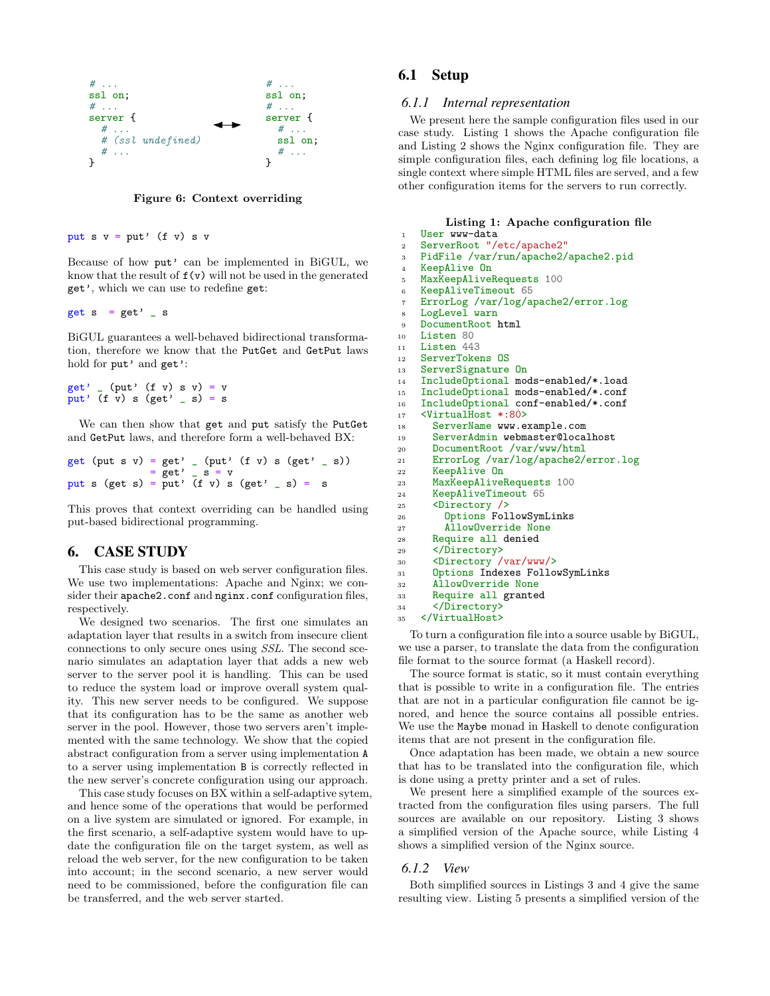

Figure 6: Context overriding

put  $s$   $v = put'$  (f  $v$ )  $s$   $v$ 

Because of how put' can be implemented in BiGUL, we know that the result of  $f(v)$  will not be used in the generated get', which we can use to redefine get:

get  $s = get' - s$ 

BiGUL guarantees a well-behaved bidirectional transformation, therefore we know that the PutGet and GetPut laws hold for put' and get':

```
get' (put' (f v) s v) = v
put' (f \bar{v}) s (get' _ s) = s
```
We can then show that get and put satisfy the PutGet and GetPut laws, and therefore form a well-behaved BX:

```
get (put s v) = get' _ (put' (f v) s (get' _ s))
              = get' _ s = v
put s (get s) = put' (f v) s (get' _ s) = s
```
This proves that context overriding can be handled using put-based bidirectional programming.

#### 6. CASE STUDY

This case study is based on web server configuration files. We use two implementations: Apache and Nginx; we consider their apache2.conf and nginx.conf configuration files, respectively.

We designed two scenarios. The first one simulates an adaptation layer that results in a switch from insecure client connections to only secure ones using SSL. The second scenario simulates an adaptation layer that adds a new web server to the server pool it is handling. This can be used to reduce the system load or improve overall system quality. This new server needs to be configured. We suppose that its configuration has to be the same as another web server in the pool. However, those two servers aren't implemented with the same technology. We show that the copied abstract configuration from a server using implementation A to a server using implementation B is correctly reflected in the new server's concrete configuration using our approach.

This case study focuses on BX within a self-adaptive sytem, and hence some of the operations that would be performed on a live system are simulated or ignored. For example, in the first scenario, a self-adaptive system would have to update the configuration file on the target system, as well as reload the web server, for the new configuration to be taken into account; in the second scenario, a new server would need to be commissioned, before the configuration file can be transferred, and the web server started.

# 6.1 Setup

#### *6.1.1 Internal representation*

We present here the sample configuration files used in our case study. Listing 1 shows the Apache configuration file and Listing 2 shows the Nginx configuration file. They are simple configuration files, each defining log file locations, a single context where simple HTML files are served, and a few other configuration items for the servers to run correctly.

#### Listing 1: Apache configuration file

```
1 User www-data<br>2 ServerRoot "/
```
- ServerRoot "/etc/apache2"
- <sup>3</sup> PidFile /var/run/apache2/apache2.pid
- <sup>4</sup> KeepAlive On <sup>5</sup> MaxKeepAliveRequests 100
- <sup>6</sup> KeepAliveTimeout 65
- <sup>7</sup> ErrorLog /var/log/apache2/error.log
- <sup>8</sup> LogLevel warn
- <sup>9</sup> DocumentRoot html
- <sup>10</sup> Listen 80
- 11 Listen 443<br>12 ServerToke
- ServerTokens OS
- <sup>13</sup> ServerSignature On
- 14 IncludeOptional mods-enabled/\*.load<br>15 IncludeOptional mods-enabled/\*.conf
- <sup>15</sup> IncludeOptional mods-enabled/\*.conf
- <sup>16</sup> IncludeOptional conf-enabled/\*.conf

```
17 <VirtualHost *:80>
18 ServerName www.example.com
```
- <sup>19</sup> ServerAdmin webmaster@localhost
- <sup>20</sup> DocumentRoot /var/www/html
- <sup>21</sup> ErrorLog /var/log/apache2/error.log
	- KeepAlive On
- <sup>23</sup> MaxKeepAliveRequests 100
- <sup>24</sup> KeepAliveTimeout 65
- 25 <Directory /><br>26 0ptions Fol
- Options FollowSymLinks <sup>27</sup> AllowOverride None
- <sup>28</sup> Require all denied
- <sup>29</sup> </Directory>
- <sup>30</sup> <Directory /var/www/>
- <sup>31</sup> Options Indexes FollowSymLinks
- <sup>32</sup> AllowOverride None
- <sup>33</sup> Require all granted

```
34 </Directory>
```

```
35 </VirtualHost>
```
To turn a configuration file into a source usable by BiGUL, we use a parser, to translate the data from the configuration file format to the source format (a Haskell record).

The source format is static, so it must contain everything that is possible to write in a configuration file. The entries that are not in a particular configuration file cannot be ignored, and hence the source contains all possible entries. We use the Maybe monad in Haskell to denote configuration items that are not present in the configuration file.

Once adaptation has been made, we obtain a new source that has to be translated into the configuration file, which is done using a pretty printer and a set of rules.

We present here a simplified example of the sources extracted from the configuration files using parsers. The full sources are available on our repository. Listing 3 shows a simplified version of the Apache source, while Listing 4 shows a simplified version of the Nginx source.

#### *6.1.2 View*

Both simplified sources in Listings 3 and 4 give the same resulting view. Listing 5 presents a simplified version of the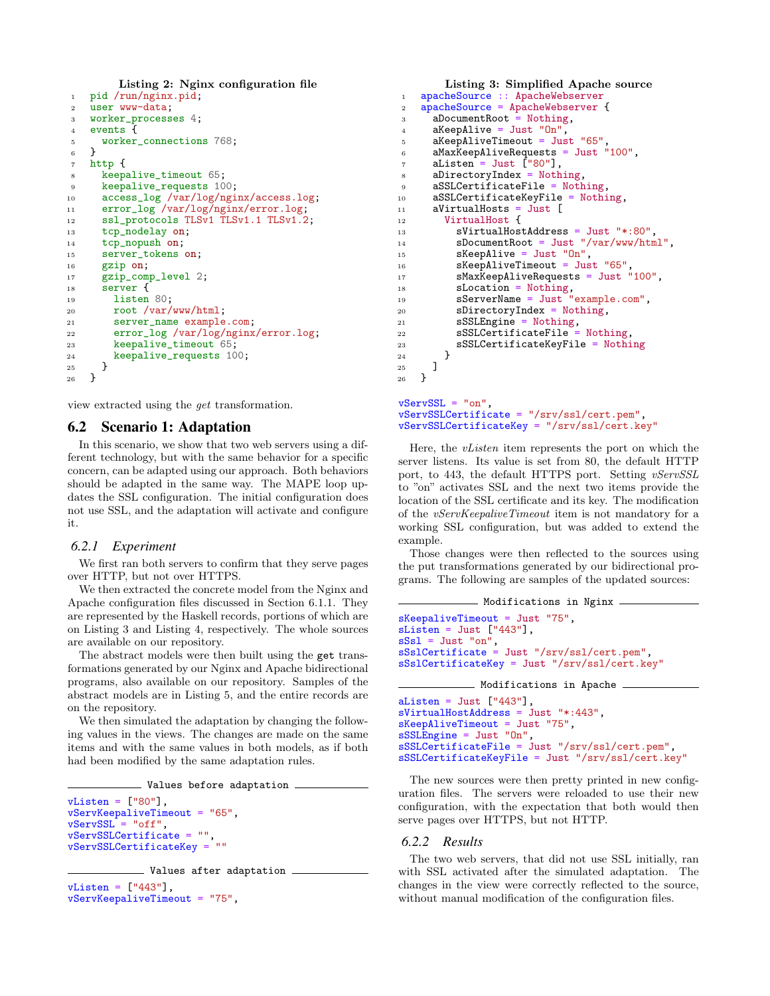```
Listing 2: Nginx configuration file
1 pid /run/nginx.pid;
2 user www-data;
3 worker_processes 4;
4 events {
5 worker_connections 768;<br>6 }
    6 }
7 http {
      keepalive_timeout 65;
9 keepalive_requests 100;
10 access_log /var/log/nginx/access.log;
11 error_log /var/log/nginx/error.log;
12 ssl_protocols TLSv1 TLSv1.1 TLSv1.2;
13 tcp_nodelay on;
14 tcp_nopush on;
15 server_tokens on;
16 gzip on;
17 gzip_comp_level 2;
18 server {
19 listen 80;
20 root /var/www/html;
21 server_name example.com;
22 error_log /var/log/nginx/error.log;<br>23 keepalive timeout 65:
        keepalive_timeout 65;
24 keepalive_requests 100;
\begin{matrix} 25 & 3 \\ 26 & 3 \end{matrix}\mathcal{F}
```
view extracted using the get transformation.

#### 6.2 Scenario 1: Adaptation

In this scenario, we show that two web servers using a different technology, but with the same behavior for a specific concern, can be adapted using our approach. Both behaviors should be adapted in the same way. The MAPE loop updates the SSL configuration. The initial configuration does not use SSL, and the adaptation will activate and configure it.

#### *6.2.1 Experiment*

We first ran both servers to confirm that they serve pages over HTTP, but not over HTTPS.

We then extracted the concrete model from the Nginx and Apache configuration files discussed in Section 6.1.1. They are represented by the Haskell records, portions of which are on Listing 3 and Listing 4, respectively. The whole sources are available on our repository.

The abstract models were then built using the get transformations generated by our Nginx and Apache bidirectional programs, also available on our repository. Samples of the abstract models are in Listing 5, and the entire records are on the repository.

We then simulated the adaptation by changing the following values in the views. The changes are made on the same items and with the same values in both models, as if both had been modified by the same adaptation rules.

```
- Values before adaptation -
```

```
vListen = ["80"],
vServKeepaliveTimeout = "65",
vServSSL = "off",
vServSSLCertificate = "",
vServSSLCertificateKey = ""
```
**EXECUTE:** Values after adaptation **ALLACE** 

```
vListen = ["443"],
vServKeepaliveTimeout = "75",
```

```
Listing 3: Simplified Apache source
1 apacheSource :: ApacheWebserver
2 apacheSource = ApacheWebserver {
3 aDocumentRoot = Nothing,
4 aKeepAlive = Just "On",
 5 aKeepAliveTimeout = Just "65",
 6 aMaxKeepAliveRequests = Just "100",
7 aListen = Just ["80"],
8 aDirectoryIndex = Nothing,<br>9 aSSLCertificateFile = Noth
9 aSSLCertificateFile = Nothing,<br>10 aSSLCertificateKeyFile = Nothi
      aSSLCertificateKeyFile = Nothing,
11 aVirtualHosts = Just [
12 VirtualHost {
13 sVirtualHostAddress = Just "*:80"
14 sDocumentRoot = Just "/var/www/html",
15 sKeepAlive = Just "On",
16 sKeepAliveTimeout = Just "65"
17 sMaxKeepAliveRequests = Just "100",
18 sLocation = Nothing,
19 sServerName = Just "example.com",
20 sDirectoryIndex = Nothing,
21 sSSLEngine = Nothing,
22 sSSLCertificateFile = Nothing,<br>23 sSSLCertificateKevFile = Nothi
          23 sSSLCertificateKeyFile = Nothing
24 }
\begin{matrix} 25 \\ 26 \end{matrix} ]
    \mathcal{F}
```

```
vServSSL = "on",
vServSSLCertificate = "/srv/ssl/cert.pem",
vServSSLCertificateKey = "/srv/ssl/cert.key"
```
Here, the vListen item represents the port on which the server listens. Its value is set from 80, the default HTTP port, to 443, the default HTTPS port. Setting vServSSL to "on" activates SSL and the next two items provide the location of the SSL certificate and its key. The modification of the vServKeepaliveTimeout item is not mandatory for a working SSL configuration, but was added to extend the example.

Those changes were then reflected to the sources using the put transformations generated by our bidirectional programs. The following are samples of the updated sources:

```
= Modifications in Nginx =sKeepaliveTimeout = Just "75",
sListen = Just ["443"],
sSsl = Just "on",sSslCertificate = Just "/srv/ssl/cert.pem",
sSslCertificateKey = Just "/srv/ssl/cert.key"
           \_\ Modifications in Apache \_\_\_\_\
```

```
aListen = Just ["443"],
sVirtualHostAddress = Just "*:443",
sKeepAliveTimeout = Just "75",
sSSLEngine = Just "On",sSSLCertificateFile = Just "/srv/ssl/cert.pem",
sSSLCertificateKeyFile = Just "/srv/ssl/cert.key"
```
The new sources were then pretty printed in new configuration files. The servers were reloaded to use their new configuration, with the expectation that both would then serve pages over HTTPS, but not HTTP.

#### *6.2.2 Results*

The two web servers, that did not use SSL initially, ran with SSL activated after the simulated adaptation. The changes in the view were correctly reflected to the source, without manual modification of the configuration files.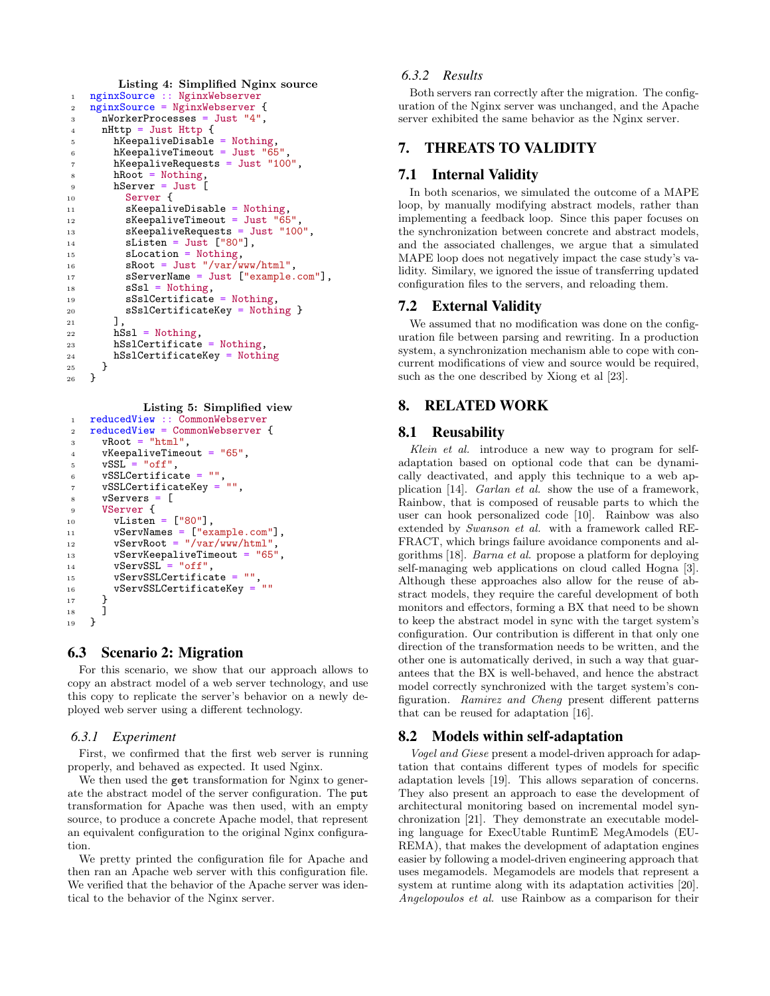```
Listing 4: Simplified Nginx source
1 nginxSource :: NginxWebserver
2 nginxSource = NginxWebserver {
3 nWorkerProcesses = Just "4",
4 nHttp = Just Http {
5 hKeepaliveDisable = Nothing,
       hKeepaliveTimeout = Just "65"
7 hKeepaliveRequests = Just "100",
8 hRoot = Nothing,
9 hServer = Just [
10 Server {
11 sKeepaliveDisable = Nothing,
12 sKeepaliveTimeout = Just "65"
13 sKeepaliveRequests = Just "100",
_{14} sListen = Just ["80"],
15 sLocation = Nothing,
_{16} sRoot = Just "/var/www/html",
17 sServerName = Just ["example.com"],
18 sSsl = Nothing,
19 sSslCertificate = Nothing,
20 sSslCertificateKey = Nothing }
21 \t 1,
22 hSsl = Nothing,<br>23 hSslCertificate
       hSslCertificate = Nothing,
24 hSslCertificateKey = Nothing
\begin{matrix} 25 & 3 \\ 26 & 3 \end{matrix}\mathcal{F}
```

```
Listing 5: Simplified view
1 reducedView :: CommonWebserver
2 reducedView = CommonWebserver {
3 vRoot = "html",
4 vKeepaliveTimeout = "65",
VSSL = "off",6 vSSLCertificate = "",
7 vSSLCertificateKey = "",
8 vServers = [
9 VServer {
_{10} vListen = ["80"],
11 vServNames = ["example.com"],<br>12 vServRoot = "/var/www/html".
         vServRoot = "/var/www/html"
13 vServKeepaliveTimeout = "65"
<sup>14</sup> vServSSL<sup>-</sup> = "off",<br>
<sup>15</sup> vServSSLCertifica
         vServSSLCertificate = "",
16 vServSSLCertificateKey = ""
\begin{matrix} 17 & 7 \\ 18 & 7 \end{matrix}18 ]
19 }
```
# 6.3 Scenario 2: Migration

For this scenario, we show that our approach allows to copy an abstract model of a web server technology, and use this copy to replicate the server's behavior on a newly deployed web server using a different technology.

# *6.3.1 Experiment*

First, we confirmed that the first web server is running properly, and behaved as expected. It used Nginx.

We then used the get transformation for Nginx to generate the abstract model of the server configuration. The put transformation for Apache was then used, with an empty source, to produce a concrete Apache model, that represent an equivalent configuration to the original Nginx configuration.

We pretty printed the configuration file for Apache and then ran an Apache web server with this configuration file. We verified that the behavior of the Apache server was identical to the behavior of the Nginx server.

#### *6.3.2 Results*

Both servers ran correctly after the migration. The configuration of the Nginx server was unchanged, and the Apache server exhibited the same behavior as the Nginx server.

# 7. THREATS TO VALIDITY

#### 7.1 Internal Validity

In both scenarios, we simulated the outcome of a MAPE loop, by manually modifying abstract models, rather than implementing a feedback loop. Since this paper focuses on the synchronization between concrete and abstract models, and the associated challenges, we argue that a simulated MAPE loop does not negatively impact the case study's validity. Similary, we ignored the issue of transferring updated configuration files to the servers, and reloading them.

# 7.2 External Validity

We assumed that no modification was done on the configuration file between parsing and rewriting. In a production system, a synchronization mechanism able to cope with concurrent modifications of view and source would be required, such as the one described by Xiong et al [23].

# 8. RELATED WORK

#### 8.1 Reusability

Klein et al. introduce a new way to program for selfadaptation based on optional code that can be dynamically deactivated, and apply this technique to a web application [14]. Garlan et al. show the use of a framework, Rainbow, that is composed of reusable parts to which the user can hook personalized code [10]. Rainbow was also extended by Swanson et al. with a framework called RE-FRACT, which brings failure avoidance components and algorithms [18]. Barna et al. propose a platform for deploying self-managing web applications on cloud called Hogna [3]. Although these approaches also allow for the reuse of abstract models, they require the careful development of both monitors and effectors, forming a BX that need to be shown to keep the abstract model in sync with the target system's configuration. Our contribution is different in that only one direction of the transformation needs to be written, and the other one is automatically derived, in such a way that guarantees that the BX is well-behaved, and hence the abstract model correctly synchronized with the target system's configuration. Ramirez and Cheng present different patterns that can be reused for adaptation [16].

# 8.2 Models within self-adaptation

Vogel and Giese present a model-driven approach for adaptation that contains different types of models for specific adaptation levels [19]. This allows separation of concerns. They also present an approach to ease the development of architectural monitoring based on incremental model synchronization [21]. They demonstrate an executable modeling language for ExecUtable RuntimE MegAmodels (EU-REMA), that makes the development of adaptation engines easier by following a model-driven engineering approach that uses megamodels. Megamodels are models that represent a system at runtime along with its adaptation activities [20]. Angelopoulos et al. use Rainbow as a comparison for their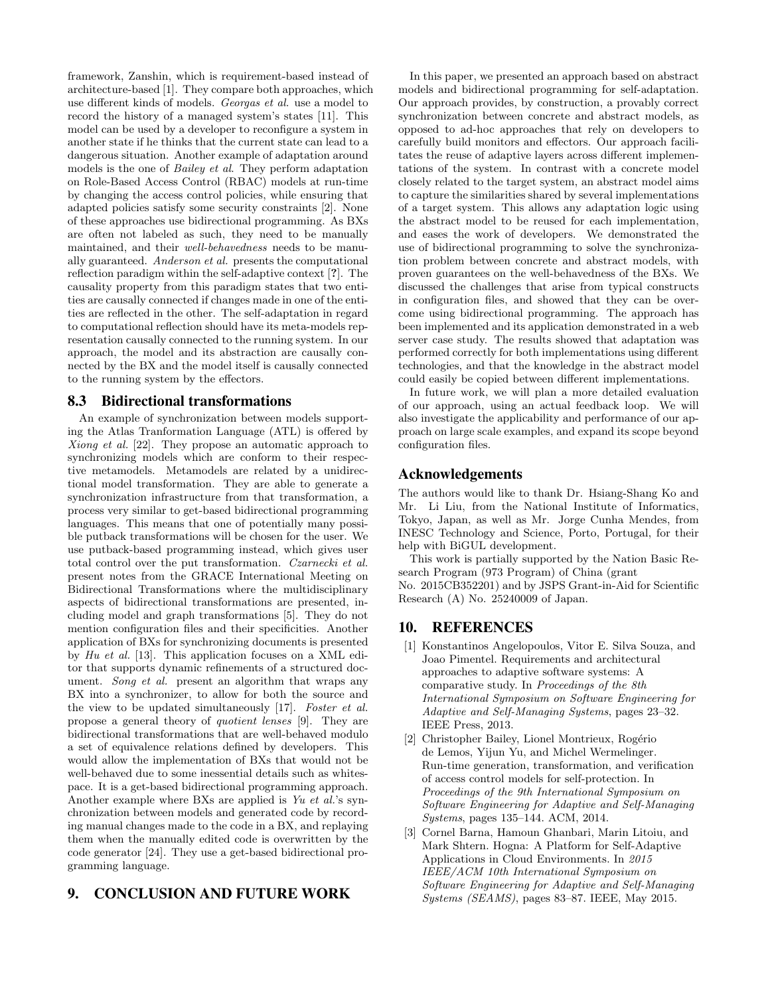framework, Zanshin, which is requirement-based instead of architecture-based [1]. They compare both approaches, which use different kinds of models. Georgas et al. use a model to record the history of a managed system's states [11]. This model can be used by a developer to reconfigure a system in another state if he thinks that the current state can lead to a dangerous situation. Another example of adaptation around models is the one of *Bailey et al.* They perform adaptation on Role-Based Access Control (RBAC) models at run-time by changing the access control policies, while ensuring that adapted policies satisfy some security constraints [2]. None of these approaches use bidirectional programming. As BXs are often not labeled as such, they need to be manually maintained, and their well-behavedness needs to be manually guaranteed. Anderson et al. presents the computational reflection paradigm within the self-adaptive context [?]. The causality property from this paradigm states that two entities are causally connected if changes made in one of the entities are reflected in the other. The self-adaptation in regard to computational reflection should have its meta-models representation causally connected to the running system. In our approach, the model and its abstraction are causally connected by the BX and the model itself is causally connected to the running system by the effectors.

# 8.3 Bidirectional transformations

An example of synchronization between models supporting the Atlas Tranformation Language (ATL) is offered by Xiong et al. [22]. They propose an automatic approach to synchronizing models which are conform to their respective metamodels. Metamodels are related by a unidirectional model transformation. They are able to generate a synchronization infrastructure from that transformation, a process very similar to get-based bidirectional programming languages. This means that one of potentially many possible putback transformations will be chosen for the user. We use putback-based programming instead, which gives user total control over the put transformation. Czarnecki et al. present notes from the GRACE International Meeting on Bidirectional Transformations where the multidisciplinary aspects of bidirectional transformations are presented, including model and graph transformations [5]. They do not mention configuration files and their specificities. Another application of BXs for synchronizing documents is presented by Hu et al. [13]. This application focuses on a XML editor that supports dynamic refinements of a structured document. Song et al. present an algorithm that wraps any BX into a synchronizer, to allow for both the source and the view to be updated simultaneously [17]. Foster et al. propose a general theory of quotient lenses [9]. They are bidirectional transformations that are well-behaved modulo a set of equivalence relations defined by developers. This would allow the implementation of BXs that would not be well-behaved due to some inessential details such as whitespace. It is a get-based bidirectional programming approach. Another example where BXs are applied is Yu et al.'s synchronization between models and generated code by recording manual changes made to the code in a BX, and replaying them when the manually edited code is overwritten by the code generator [24]. They use a get-based bidirectional programming language.

# 9. CONCLUSION AND FUTURE WORK

In this paper, we presented an approach based on abstract models and bidirectional programming for self-adaptation. Our approach provides, by construction, a provably correct synchronization between concrete and abstract models, as opposed to ad-hoc approaches that rely on developers to carefully build monitors and effectors. Our approach facilitates the reuse of adaptive layers across different implementations of the system. In contrast with a concrete model closely related to the target system, an abstract model aims to capture the similarities shared by several implementations of a target system. This allows any adaptation logic using the abstract model to be reused for each implementation, and eases the work of developers. We demonstrated the use of bidirectional programming to solve the synchronization problem between concrete and abstract models, with proven guarantees on the well-behavedness of the BXs. We discussed the challenges that arise from typical constructs in configuration files, and showed that they can be overcome using bidirectional programming. The approach has been implemented and its application demonstrated in a web server case study. The results showed that adaptation was performed correctly for both implementations using different technologies, and that the knowledge in the abstract model could easily be copied between different implementations.

In future work, we will plan a more detailed evaluation of our approach, using an actual feedback loop. We will also investigate the applicability and performance of our approach on large scale examples, and expand its scope beyond configuration files.

# Acknowledgements

The authors would like to thank Dr. Hsiang-Shang Ko and Mr. Li Liu, from the National Institute of Informatics, Tokyo, Japan, as well as Mr. Jorge Cunha Mendes, from INESC Technology and Science, Porto, Portugal, for their help with BiGUL development.

This work is partially supported by the Nation Basic Research Program (973 Program) of China (grant

No. 2015CB352201) and by JSPS Grant-in-Aid for Scientific Research (A) No. 25240009 of Japan.

# 10. REFERENCES

- [1] Konstantinos Angelopoulos, Vitor E. Silva Souza, and Joao Pimentel. Requirements and architectural approaches to adaptive software systems: A comparative study. In Proceedings of the 8th International Symposium on Software Engineering for Adaptive and Self-Managing Systems, pages 23–32. IEEE Press, 2013.
- [2] Christopher Bailey, Lionel Montrieux, Rogério de Lemos, Yijun Yu, and Michel Wermelinger. Run-time generation, transformation, and verification of access control models for self-protection. In Proceedings of the 9th International Symposium on Software Engineering for Adaptive and Self-Managing Systems, pages 135–144. ACM, 2014.
- [3] Cornel Barna, Hamoun Ghanbari, Marin Litoiu, and Mark Shtern. Hogna: A Platform for Self-Adaptive Applications in Cloud Environments. In 2015 IEEE/ACM 10th International Symposium on Software Engineering for Adaptive and Self-Managing Systems (SEAMS), pages 83–87. IEEE, May 2015.